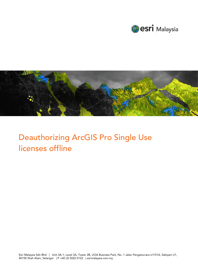



# Deauthorizing ArcGIS Pro Single Use licenses offline

Esri Malaysia Sdn Bhd | Unit 3A-1, Level 3A, Tower 2B, UOA Business Park, No. 1 Jalan Pengaturcara U1/51A, Seksyen U1, 40150 Shah Alam, Selangor | P +60 (3) 5022 0122 | esrimalaysia.com.my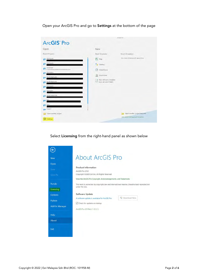Open your ArcGIS Pro and go to Settings at the bottom of the page

|                                                                 |                                                     | ArcGIS Pro                              |
|-----------------------------------------------------------------|-----------------------------------------------------|-----------------------------------------|
| ArcGIS <sup>®</sup> Pro                                         |                                                     |                                         |
| Open                                                            | New                                                 |                                         |
| Recent Projects                                                 | <b>Blank Templates</b>                              | Recent Templates                        |
| MyProject5                                                      | E.<br>Map                                           | Your recent templates will appear Here. |
| MyProject4                                                      | Catalog                                             |                                         |
| <b>ViewerTest</b><br>C:\EsriTraining\ViewerTest\ViewerTest.apox | Global Scene<br>CA                                  |                                         |
| MyProject2                                                      | 脑<br>Local Scene                                    |                                         |
| NorthridgeQuake                                                 |                                                     |                                         |
| NorthridgeQuake                                                 | Start without a template<br>(you can save it later) |                                         |
| MyProject3                                                      |                                                     |                                         |
| MyProject1                                                      |                                                     |                                         |
| Venice Acqua Alta                                               |                                                     |                                         |
|                                                                 |                                                     |                                         |
| Test1                                                           |                                                     |                                         |
| Raster1                                                         |                                                     |                                         |
| Open another project                                            |                                                     | Select another project template         |
| Settings                                                        |                                                     | Learn about creating project templates  |
|                                                                 |                                                     |                                         |

Select Licensing from the right-hand panel as shown below

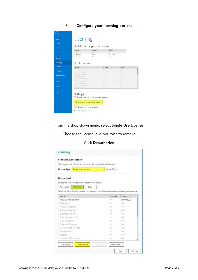## Select Configure your licensing options

| Save As<br><b>Portals</b> | <b>Name</b><br>Basic<br>Standard<br>Advanced | Licensed<br>No.<br>Yes<br>No. | <b>Expires</b><br>N/A<br>31/07/2020<br>N/A |         |   |
|---------------------------|----------------------------------------------|-------------------------------|--------------------------------------------|---------|---|
| Licensing                 | <b>Esri Extensions</b>                       |                               |                                            |         |   |
| Options                   | Name                                         |                               | Licensed                                   | Expires | A |
| Python                    | JII Analyst                                  |                               |                                            |         |   |
|                           | Aviation Amports<br>Avenue Chartono          |                               |                                            |         |   |
| Add-In Manager            | Hanmour Amalytt                              |                               |                                            |         |   |
|                           | Timi interopenibility                        |                               |                                            |         |   |
| Help                      | Until Reverser                               |                               | ٠                                          |         |   |
|                           | DemmissMapping.<br>Grommman Aniver           |                               |                                            |         |   |
| About                     | Impge Answel.                                |                               | ÷                                          |         |   |
| Exit                      |                                              |                               |                                            |         |   |
|                           | Settings                                     |                               |                                            |         |   |

From the drop-down menu, select Single Use License

Choose the license level you wish to remove

## Click Deauthorize

| <b>Configure Authorization</b> | Select your authorization type from the drop-down list below:                               |            |            |  |
|--------------------------------|---------------------------------------------------------------------------------------------|------------|------------|--|
| <b>License Type</b>            | <b>Single Use License</b>                                                                   | Learn More |            |  |
| License Level                  |                                                                                             |            |            |  |
|                                | Select the Pro core product license level below:                                            |            |            |  |
| Advanced                       | Standard<br>Basic                                                                           |            |            |  |
|                                | This lists the software installed, along with its authorization status and expiration date. |            |            |  |
| Name                           |                                                                                             | Licensed   | Expires    |  |
| ArcGIS Pro Standard            |                                                                                             | Yes        | 31/07/2020 |  |
|                                |                                                                                             |            |            |  |
| 3D Analyst                     |                                                                                             | No         | N/A        |  |
| Aviation Airports              |                                                                                             | No-        | N/A        |  |
| Aviation Charting              |                                                                                             | No         | N/A        |  |
| <b>Business Analyst</b>        |                                                                                             | No.        | N/A        |  |
| Data Interoperability          |                                                                                             | No         | N/A        |  |
| Data Reviewer                  |                                                                                             | No.        | N/A        |  |
| Defense Mapping                |                                                                                             | No-        | N/A        |  |
| Geostatistical Analyst         |                                                                                             | No         | N/A        |  |
| Image Analyst                  |                                                                                             | No:        | N/A        |  |
| LocateXT                       |                                                                                             | No         | N/A        |  |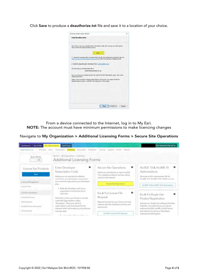Click Save to produce a deauthorize.txt file and save it to a location of your choice.



From a device connected to the Internet, log in to My Esri. NOTE: The account must have minimum permissions to make licencing changes

#### Navigate to My Organization > Additional Licensing Forms > Secure Site Operations

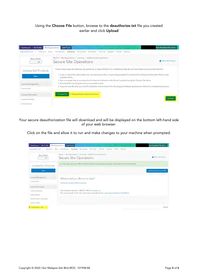## Using the Choose File button, browse to the deauthorize.txt file you created earlier and click Upload



Your secure deauthorization file will download and will be displayed on the bottom left-hand side of your web browser.

Click on the file and allow it to run and make changes to your machine when prompted.